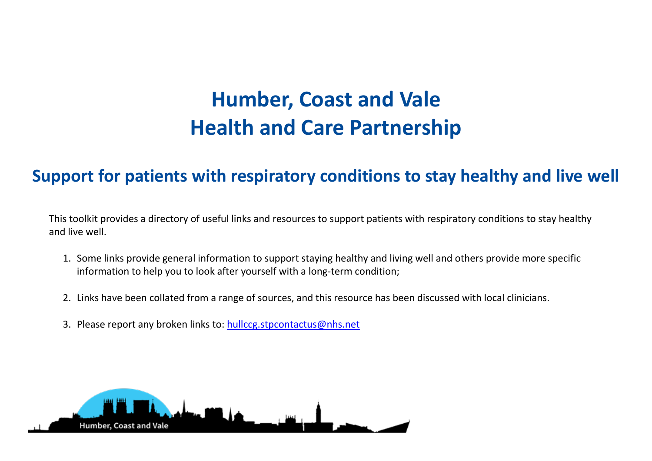## **Humber, Coast and Vale Health and Care Partnership**

## **Support for patients with respiratory conditions to stay healthy and live well**

This toolkit provides a directory of useful links and resources to support patients with respiratory conditions to stay healthy and live well.

- 1. Some links provide general information to support staying healthy and living well and others provide more specific information to help you to look after yourself with a long-term condition;
- 2. Links have been collated from a range of sources, and this resource has been discussed with local clinicians.
- 3. Please report any broken links to: [hullccg.stpcontactus@nhs.net](mailto:hullccg.stpcontactus@nhs.net)

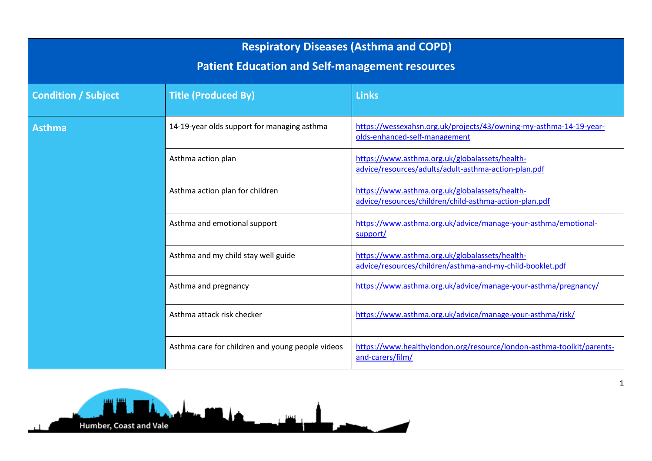| <b>Respiratory Diseases (Asthma and COPD)</b><br><b>Patient Education and Self-management resources</b> |                                                  |                                                                                                             |  |
|---------------------------------------------------------------------------------------------------------|--------------------------------------------------|-------------------------------------------------------------------------------------------------------------|--|
| <b>Condition / Subject</b>                                                                              | <b>Title (Produced By)</b>                       | <b>Links</b>                                                                                                |  |
| <b>Asthma</b>                                                                                           | 14-19-year olds support for managing asthma      | https://wessexahsn.org.uk/projects/43/owning-my-asthma-14-19-year-<br>olds-enhanced-self-management         |  |
|                                                                                                         | Asthma action plan                               | https://www.asthma.org.uk/globalassets/health-<br>advice/resources/adults/adult-asthma-action-plan.pdf      |  |
|                                                                                                         | Asthma action plan for children                  | https://www.asthma.org.uk/globalassets/health-<br>advice/resources/children/child-asthma-action-plan.pdf    |  |
|                                                                                                         | Asthma and emotional support                     | https://www.asthma.org.uk/advice/manage-your-asthma/emotional-<br>support/                                  |  |
|                                                                                                         | Asthma and my child stay well guide              | https://www.asthma.org.uk/globalassets/health-<br>advice/resources/children/asthma-and-my-child-booklet.pdf |  |
|                                                                                                         | Asthma and pregnancy                             | https://www.asthma.org.uk/advice/manage-your-asthma/pregnancy/                                              |  |
|                                                                                                         | Asthma attack risk checker                       | https://www.asthma.org.uk/advice/manage-your-asthma/risk/                                                   |  |
|                                                                                                         | Asthma care for children and young people videos | https://www.healthylondon.org/resource/london-asthma-toolkit/parents-<br>and-carers/film/                   |  |

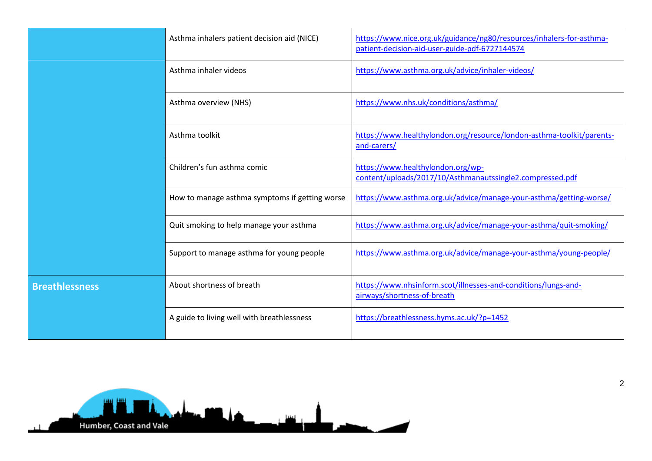|                       | Asthma inhalers patient decision aid (NICE)    | https://www.nice.org.uk/guidance/ng80/resources/inhalers-for-asthma-<br>patient-decision-aid-user-guide-pdf-6727144574 |
|-----------------------|------------------------------------------------|------------------------------------------------------------------------------------------------------------------------|
|                       | Asthma inhaler videos                          | https://www.asthma.org.uk/advice/inhaler-videos/                                                                       |
|                       | Asthma overview (NHS)                          | https://www.nhs.uk/conditions/asthma/                                                                                  |
|                       | Asthma toolkit                                 | https://www.healthylondon.org/resource/london-asthma-toolkit/parents-<br>and-carers/                                   |
|                       | Children's fun asthma comic                    | https://www.healthylondon.org/wp-<br>content/uploads/2017/10/Asthmanautssingle2.compressed.pdf                         |
|                       | How to manage asthma symptoms if getting worse | https://www.asthma.org.uk/advice/manage-your-asthma/getting-worse/                                                     |
|                       | Quit smoking to help manage your asthma        | https://www.asthma.org.uk/advice/manage-your-asthma/quit-smoking/                                                      |
|                       | Support to manage asthma for young people      | https://www.asthma.org.uk/advice/manage-your-asthma/young-people/                                                      |
| <b>Breathlessness</b> | About shortness of breath                      | https://www.nhsinform.scot/illnesses-and-conditions/lungs-and-<br>airways/shortness-of-breath                          |
|                       | A guide to living well with breathlessness     | https://breathlessness.hyms.ac.uk/?p=1452                                                                              |

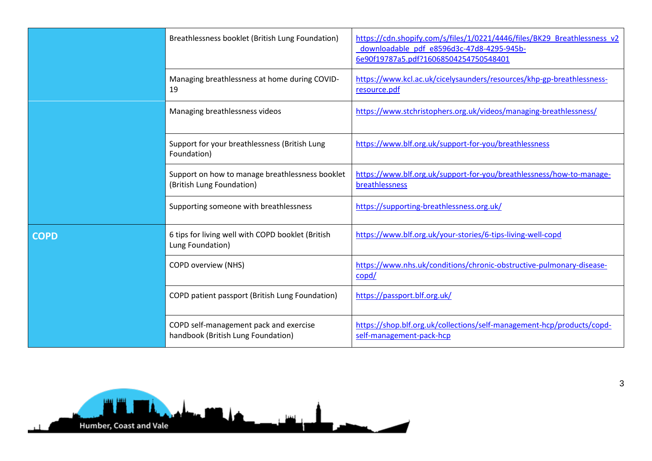|             | Breathlessness booklet (British Lung Foundation)                             | https://cdn.shopify.com/s/files/1/0221/4446/files/BK29 Breathlessness v2<br>downloadable pdf e8596d3c-47d8-4295-945b-<br>6e90f19787a5.pdf?16068504254750548401 |
|-------------|------------------------------------------------------------------------------|----------------------------------------------------------------------------------------------------------------------------------------------------------------|
|             | Managing breathlessness at home during COVID-<br>19                          | https://www.kcl.ac.uk/cicelysaunders/resources/khp-gp-breathlessness-<br>resource.pdf                                                                          |
|             | Managing breathlessness videos                                               | https://www.stchristophers.org.uk/videos/managing-breathlessness/                                                                                              |
|             | Support for your breathlessness (British Lung<br>Foundation)                 | https://www.blf.org.uk/support-for-you/breathlessness                                                                                                          |
|             | Support on how to manage breathlessness booklet<br>(British Lung Foundation) | https://www.blf.org.uk/support-for-you/breathlessness/how-to-manage-<br>breathlessness                                                                         |
|             | Supporting someone with breathlessness                                       | https://supporting-breathlessness.org.uk/                                                                                                                      |
| <b>COPD</b> | 6 tips for living well with COPD booklet (British<br>Lung Foundation)        | https://www.blf.org.uk/your-stories/6-tips-living-well-copd                                                                                                    |
|             | <b>COPD overview (NHS)</b>                                                   | https://www.nhs.uk/conditions/chronic-obstructive-pulmonary-disease-<br>$\text{copd}/$                                                                         |
|             | COPD patient passport (British Lung Foundation)                              | https://passport.blf.org.uk/                                                                                                                                   |
|             | COPD self-management pack and exercise<br>handbook (British Lung Foundation) | https://shop.blf.org.uk/collections/self-management-hcp/products/copd-<br>self-management-pack-hcp                                                             |

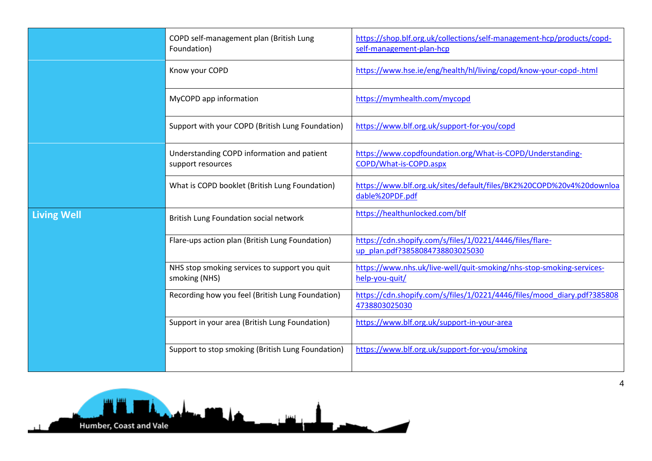|                    | COPD self-management plan (British Lung<br>Foundation)          | https://shop.blf.org.uk/collections/self-management-hcp/products/copd-<br>self-management-plan-hcp |
|--------------------|-----------------------------------------------------------------|----------------------------------------------------------------------------------------------------|
|                    | Know your COPD                                                  | https://www.hse.ie/eng/health/hl/living/copd/know-your-copd-.html                                  |
|                    | MyCOPD app information                                          | https://mymhealth.com/mycopd                                                                       |
|                    | Support with your COPD (British Lung Foundation)                | https://www.blf.org.uk/support-for-you/copd                                                        |
|                    | Understanding COPD information and patient<br>support resources | https://www.copdfoundation.org/What-is-COPD/Understanding-<br>COPD/What-is-COPD.aspx               |
|                    | What is COPD booklet (British Lung Foundation)                  | https://www.blf.org.uk/sites/default/files/BK2%20COPD%20v4%20downloa<br>dable%20PDF.pdf            |
| <b>Living Well</b> | British Lung Foundation social network                          | https://healthunlocked.com/blf                                                                     |
|                    | Flare-ups action plan (British Lung Foundation)                 | https://cdn.shopify.com/s/files/1/0221/4446/files/flare-<br>up plan.pdf?3858084738803025030        |
|                    | NHS stop smoking services to support you quit<br>smoking (NHS)  | https://www.nhs.uk/live-well/quit-smoking/nhs-stop-smoking-services-<br>help-you-quit/             |
|                    | Recording how you feel (British Lung Foundation)                | https://cdn.shopify.com/s/files/1/0221/4446/files/mood_diary.pdf?385808<br>4738803025030           |
|                    | Support in your area (British Lung Foundation)                  | https://www.blf.org.uk/support-in-your-area                                                        |
|                    | Support to stop smoking (British Lung Foundation)               | https://www.blf.org.uk/support-for-you/smoking                                                     |



4